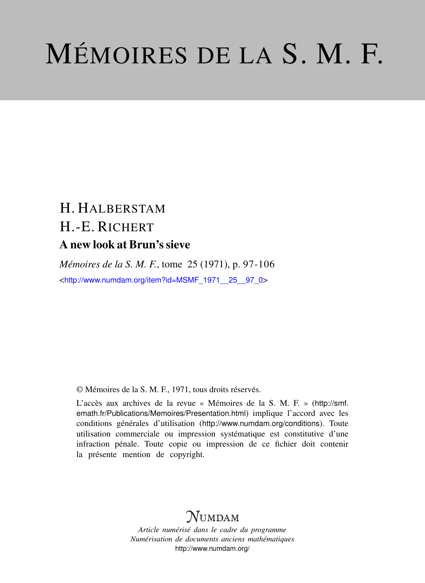## MÉMOIRES DE LA S. M. F.

## H. HALBERSTAM H.-E. RICHERT A new look at Brun's sieve

*Mémoires de la S. M. F.*, tome 25 (1971), p. 97-106 <[http://www.numdam.org/item?id=MSMF\\_1971\\_\\_25\\_\\_97\\_0](http://www.numdam.org/item?id=MSMF_1971__25__97_0)>

© Mémoires de la S. M. F., 1971, tous droits réservés.

L'accès aux archives de la revue « Mémoires de la S. M. F. » ([http://smf.](http://smf.emath.fr/Publications/Memoires/Presentation.html) [emath.fr/Publications/Memoires/Presentation.html](http://smf.emath.fr/Publications/Memoires/Presentation.html)) implique l'accord avec les conditions générales d'utilisation (<http://www.numdam.org/conditions>). Toute utilisation commerciale ou impression systématique est constitutive d'une infraction pénale. Toute copie ou impression de ce fichier doit contenir la présente mention de copyright.

## **NUMDAM**

*Article numérisé dans le cadre du programme Numérisation de documents anciens mathématiques* <http://www.numdam.org/>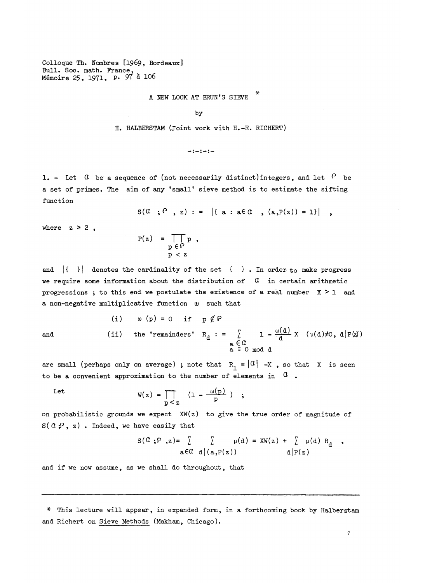Colloque Th. Nombres [1969, Bordeaux] Bull. Soc. math. France, Memoire 25, 19T1, P- 9T a 106

A NEW LOOK AT BRUN'S SIEVE

by

H. HALBERSTAM (Joint work with H.-E. RICHERT)

 $-1 - 1 - 1 -$ 

1. - Let  $G$  be a sequence of (not necessarily distinct) integers, and let  $P$  be a set of primes. The aim of any 'small' sieve method is to estimate the sifting function

 $S(G, P, z) := |{ a : a \in \mathcal{A} , (a, P(z)) = 1} |$ 

where  $z \ge 2$ ,

$$
P(z) = \prod_{\substack{p \in P \\ p < z}} p ,
$$

and  $| \n\begin{bmatrix} \n\end{bmatrix}$  denotes the cardinality of the set  $\begin{bmatrix} \n\end{bmatrix}$ . In order to make progress we require some information about the distribution of  $\alpha$  in certain arithmetic progressions; to this end we postulate the existence of a real number  $X \geq 1$  and a non-negative multiplicative function w such that

(i) 
$$
\omega(p) = 0
$$
 if  $p \notin \mathbb{P}$ 

\n(ii) the 'remainders'  $R_d := \sum_{\substack{a \in \mathbb{C} \\ a \equiv 0 \mod d}} 1 - \frac{\omega(d)}{d} X$   $(\mu(d) \neq 0, d | P(\alpha))$ 

are small (perhaps only on average) ; note that  $R_1 = |0| -X$ , so that X is seen to be a convenient approximation to the number of elements in  $\alpha$ .

Let

$$
W(z) = \prod_{p < z} (1 - \frac{\omega(p)}{p})
$$

on probabilistic grounds we expect  $XW(z)$  to give the true order of magnitude of  $S(\mathcal{A}, \mathcal{P}, z)$  . Indeed, we have easily that

$$
S(\mathcal{Q}; \mathcal{P}, z) = \sum_{a \in \mathcal{Q}} \sum_{d \mid (a, p(z))} \mu(d) = XW(z) + \sum_{d \mid p(z)} \mu(d) R_d ,
$$

and if we now assume, as we shall do throughout, that

*\** This lecture will appear, in expanded form, in a forthcoming book by Halberstam and Richert on Sieve Methods (Makham, Chicago).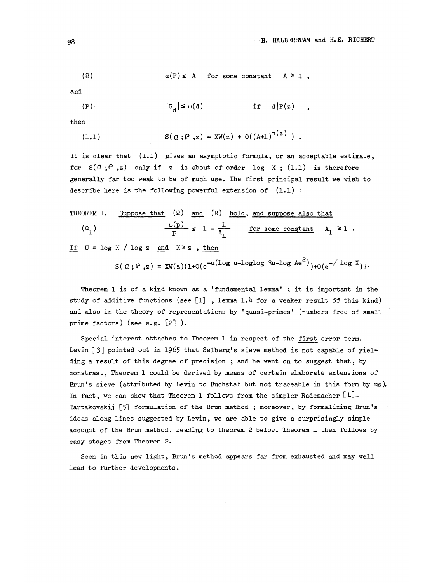$$
(\Omega) \qquad \qquad \omega(P) \leq A \qquad \text{for some constant} \qquad A \geq 1,
$$

and.

$$
|P_{d}| \leq \omega(d) \qquad \text{if} \quad d|P(z) ,
$$

then

(1.1) 
$$
S(\alpha; \rho, z) = XW(z) + O((A+1)^{\pi(z)})
$$
.

It is clear that (l.l) gives an asymptotic formula, or an acceptable estimate, for  $S(0; i^p, z)$  only if z is about of order log X; (1.1) is therefore generally far too weak to be of much use. The first principal result we wish to describe here is the following powerful extension of  $(1.1)$ :

THEOREM 1. Suppose that (2) and (R) hold, and suppose also that  
\n
$$
\frac{\omega(p)}{p} \leq 1 - \frac{1}{A_1}
$$
 for some constant  $A_1 \geq 1$ .  
\nIf U = log X / log z and X<sup>2</sup> z, then

$$
S(\,a\,;\,P\, ,z\,) = \text{XW}(z)\{1+0(e^{-u(\log u - \log\log 3u - \log Ae^2)}) + 0(e^{-\sqrt{\log X}})\}.
$$

Theorem  $1$  is of a kind known as a 'fundamental lemma'; it is important in the study of additive functions (see [l] , lemma *l.k* for a weaker result of this kind) and also in the theory of representations by 'quasi-primes' (numbers free of small prime factors) (see e.g. *\\_2~\* ).

Special interest attaches to Theorem 1 in respect of the first error term. Levin [3] pointed out in 1965 that Selberg's sieve method is not capable of yielding a result of this degree of precision ; and he went on to suggest that, by constrast. Theorem 1 could be derived by means of certain elaborate extensions of Brun's sieve (attributed by Levin to Buchstab but not traceable in this form by us). In fact, we can show that Theorem 1 follows from the simpler Rademacher  $\lceil 4 \rceil$ -Tartakovskij [5] formulation of the Brun method; moreover, by formalizing Brun's ideas along lines suggested by Levin, we are able to give a surprisingly simple account of the Brun method, leading to theorem 2 below. Theorem 1 then follows by easy stages from Theorem 2.

Seen in this new light, Brun's method appears far from exhausted and may well lead to further developments.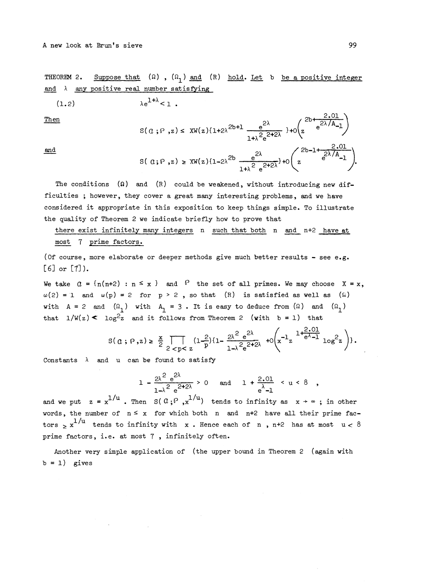THEOREM 2. Suppose that  $(\Omega)$ ,  $(\Omega_1)$  and  $(R)$  hold. Let b be a positive integer and  $\lambda$  any positive real number satisfying

$$
(1.2) \t\t \lambda e^{1+\lambda} < 1.
$$

(1.2) 
$$
\lambda e^{1+\lambda} < 1
$$
.  
Then  
 $S(a; P, z) \leq XW(z) \{1+2\lambda^{2b+1} \frac{e^{2\lambda}}{1+\lambda^2 e^{2+2\lambda}}\} + o\left(z^{2b+\frac{2.01}{e^{2\lambda/A}-1}}\right)$ 

and  
\n
$$
3(a; p, z) \geq \text{XW}(z) \{1 - 2\lambda^{2b} \frac{e^{2\lambda}}{1 + \lambda^{2} e^{2 + 2\lambda}}\} + o\left(z^{2b - 1 + \frac{2 \cdot 01}{e^{\lambda/A}}}\right).
$$

The conditions  $(\Omega)$  and  $(R)$  could be weakened, without introducing new difficulties ; however, they cover a great many interesting problems, and we have considered it appropriate in this exposition to keep things simple. To illustrate the quality of Theorem 2 we indicate briefly how to prove that

there exist infinitely many integers n such that both n and n+2 have at most 7 prime factors.

(Of course, more elaborate or deeper methods give much better results - see e.g.  $[6]$  or  $[7]$ ).

We take  $\alpha = \{n(n+2) : n \le x\}$  and  $\beta$  the set of all primes. We may choose  $X = x$  $\omega(2) = 1$  and  $\omega(p) = 2$  for  $p > 2$ , so that (R) is satisfied as well as ( $\Omega$ ) with  $A = 2$  and  $(\Omega_1)$  with  $A_1 = 3$ . It is easy to deduce from  $(\Omega)$  and  $(\Omega_1)$ that  $1/W(z)$   $\leq$   $\log^2 z$  and it follows from Theorem 2 (with b = l) that

$$
S(a; p, z) \geq \frac{x}{2} \prod_{2 < p < z} (1 \frac{2}{p}) \{1 - \frac{2\lambda^2 e^{2\lambda}}{1 - \lambda^2 e^{2 + 2\lambda}} + o\left(x^{-1} z \frac{1 + \frac{2 \cdot 01}{e^{\lambda} - 1}}{\lambda^2 e^{2}}\right)\}.
$$

Constants  $\lambda$  and u can be found to satisfy

n be found to satisfy  
\n
$$
1 - \frac{2\lambda^2 e^{2\lambda}}{1 - \lambda^2 e^{2 + 2\lambda}} > 0 \quad \text{and} \quad 1 + \frac{2.01}{e^{\lambda} - 1} < u < 8
$$

and we put  $z = x^{1/u}$ . Then  $S( 0; \rho, x^{1/u})$  tends to infinity as  $x \rightarrow \infty$ ; in other words, the number of  $n \le x$  for which both n and  $n+2$  have all their prime factors  $>$  x<sup>1/u</sup> tends to infinity with x. Hence each of n, n+2 has at most u < 8 prime factors, i.e. at most 7, infinitely often.

Another very simple application of (the upper bound in Theorem 2 (again with  $b = 1$ ) gives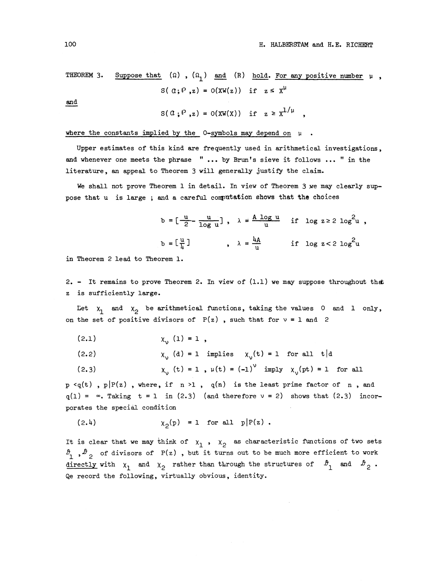THEOREM 3. Suppose that  $(\Omega)$ ,  $(\Omega_1)$  and  $(R)$  hold. For any positive number  $\mu$ ,  $S( \alpha; P, z) = O(XW(z))$  if  $z \leq X^{\mu}$ 

and

$$
s(\alpha; \rho, z) = o(xw(x)) \text{ if } z \geq x^{1/\mu} ,
$$

where the constants implied by the  $0$ -symbols may depend on  $\mu$ .

Upper estimates of this kind are frequently used in arithmetical investigations, and whenever one meets the phrase " ... by Brun's sieve it follows ... " in the literature, an appeal to Theorem 3 will generally justify the claim.

We shall not prove Theorem 1 in detail. In view of Theorem 3 we may clearly suppose that u is large; and a careful computation shows that the choices

and a careful computation shows that the choices  
\n
$$
b = \left[\frac{u}{2} - \frac{u}{\log u}\right], \quad \lambda = \frac{A \log u}{u} \quad \text{if} \quad \log z \ge 2 \log^2 u,
$$
\n
$$
b = \left[\frac{u}{4}\right] \quad , \quad \lambda = \frac{4A}{u} \quad \text{if} \quad \log z < 2 \log^2 u
$$

in Theorem 2 lead to Theorem 1.

2. - It remains to prove Theorem 2. In view of  $(1.1)$  we may suppose throughout that z is sufficiently large.

Let  $x_1$  and  $x_2$  be arithmetical functions, taking the values 0 and 1 only, on the set of positive divisors of  $P(z)$ , such that for  $v = 1$  and 2

$$
(2.1) \t\t xv (1) = 1,
$$

(2.2)  $\chi_{\gamma}$  (d) = 1 implies  $\chi_{\gamma}(t) = 1$  for all t|d

(2.3) 
$$
\chi_{v}(t) = 1
$$
,  $\mu(t) = (-1)^{v} \text{ imply } \chi_{v}(pt) = 1$  for all

 $p \leq q(t)$ ,  $p|P(z)$ , where, if  $n > 1$ ,  $q(n)$  is the least prime factor of  $n$ , and  $q(1) = \infty$ . Taking  $t = 1$  in (2.3) (and therefore  $\nu = 2$ ) shows that (2.3) incorporates the special condition<br>
(2.4)  $\chi_2(p) = 1$  for all  $p|P(z)$ .

$$
\chi_0(p) = 1 \quad \text{for all} \quad p|P(z).
$$

It is clear that we may think of  $x_1$ ,  $x_2$  as characteristic functions of two sets  $\mathcal{P}_1$ ,  $\mathcal{P}_2$  of divisors of P(z), but it turns out to be much more efficient to work directly with  $x_1$  and  $x_2$  rather than through the structures of  $\theta_1$  and  $\theta_2$ . Qe record the following, virtually obvious, identity.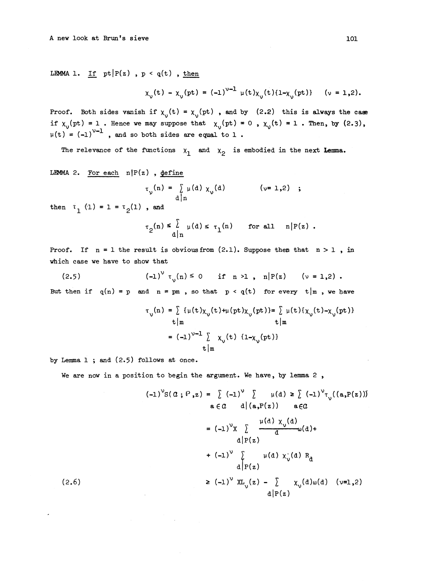LEMMA 1. If  $pt|P(z)$ ,  $p < q(t)$ , then

$$
\chi_{v}(t) - \chi_{v}(pt) = (-1)^{v-1} \mu(t) \chi_{v}(t) \{1 - \chi_{v}(pt)\} \quad (v = 1, 2).
$$

Proof. Both sides vanish if  $\chi_{v}(t) = \chi_{v}(pt)$ , and by (2.2) this is always the case if  $x_0$ (pt) = 1. Hence we may suppose that  $x_0$ (pt) = 0,  $x_0$ (t) = 1. Then, by (2.3),  $\mu(t) = (-1)^{v-1}$ , and so both sides are equal to 1.

The relevance of the functions  $x_1$  and  $x_2$  is embodied in the next Lemma.

LEMMA 2. For each  $n|P(z)$ , define

$$
\tau_{\nu}(n) = \sum_{\substack{\alpha \mid n}} \mu(d) \chi_{\nu}(d) \qquad (\nu = 1, 2) ;
$$

then  $t_1$  (1) = 1 =  $\tau_2(1)$ , and

$$
\tau_2(n) \leq \sum_{d \mid n} \mu(d) \leq \tau_1(n) \quad \text{for all} \quad n | P(z) .
$$

Proof. If  $n = 1$  the result is obvious from (2.1). Suppose then that  $n > 1$ , in •which case we have to show that

(2.5) 
$$
(-1)^{v} \tau_{v}(n) \le 0
$$
 if  $n > 1$ ,  $n|P(z) \ (v = 1,2)$ .  
But then if  $q(n) = p$  and  $n = pm$ , so that  $p < q(t)$  for every  $t|m$ , we have

$$
\tau_{v}(n) = \sum \{ \mu(t) \chi_{v}(t) + \mu(pt) \chi_{v}(pt) \} = \sum \mu(t) \{\chi_{v}(t) - \chi_{v}(pt) \}
$$
  
\n
$$
t | m \qquad t | m
$$
  
\n
$$
= (-1)^{v-1} \sum \chi_{v}(t) \{1 - \chi_{v}(pt) \}
$$
  
\n
$$
t | m
$$

by Lemma 1 ; and (2.5) follows at once.

We are now in a position to begin the argument. We have, by lemma 2,

$$
(-1)^{v}S(\alpha; P, z) = \sum (-1)^{v} \sum \mu(d) \geq \sum (-1)^{v} \tau_{v}((a, P(z)))
$$
  
\n
$$
a \in \alpha \quad d | (a, P(z)) \quad a \in \alpha
$$
  
\n
$$
= (-1)^{v}X \sum \frac{\mu(d) \chi_{v}(d)}{d} \omega(d) +
$$
  
\n
$$
d | P(z)
$$
  
\n
$$
+ (-1)^{v} \sum \mu(d) \chi_{v}(d) R_{d}
$$
  
\n
$$
d | P(z)
$$
  
\n
$$
\geq (-1)^{v} X L_{v}(z) - \sum \chi_{v}(d) \omega(d) (v=1, 2)
$$
  
\n
$$
d | P(z)
$$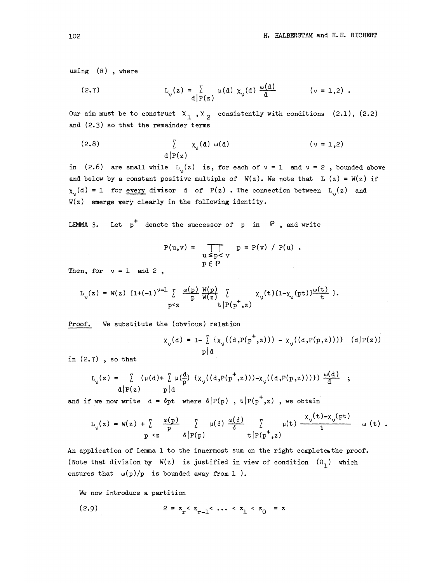using  $(R)$ , where

ng (R), where  
(2.7) 
$$
L_y(z) = \sum_{d|P(z)} \mu(d) \chi_y(d) \frac{\omega(d)}{d}
$$
 (*y* = 1,2).

Our aim must be to construct  $X_1, X_2$  consistently with conditions (2.1), (2.2) and (2.3) so that the remainder terms

(2.8) 
$$
\sum_{d|P(z)} x_{v}(d) \omega(d) \qquad (v = 1,2)
$$

in (2.6) are small while  $L_1(z)$  is, for each of  $\nu = 1$  and  $\nu = 2$ , bounded above and below by a constant positive multiple of  $W(z)$ . We note that  $L(z) = W(z)$  if  $\chi_{\alpha}(d) = 1$  for every divisor d of P(z). The connection between L<sub>1</sub>(z) and W(z ) **emerge** very clearly in the following identity.

LEMMA 3. Let  $p^+$  denote the successor of p in  $\lvert P \rvert$ , and write

$$
P(u,v) = \prod_{\substack{u \leq p < v \\ p \in P}} p = P(v) / P(u) .
$$

Then, for  $v = 1$  and 2,

$$
L_{v}(z) = W(z) \{1+(-1)^{v-1}\}\n\begin{cases}\n\frac{\omega(p)}{p} \frac{W(p)}{W(z)} & \text{if } x_{v}(t) \{1-x_{v}(pt)\} \frac{\omega(t)}{t} \}, \\
p & \text{if } |P(p^{+}, z)|\n\end{cases}
$$

Proof. We substitute the (obvious) relation

$$
\chi_{v}(d) = 1 - \sum_{p|d} {\{\chi_{v}((d, P(p^{+}, z))) - \chi_{v}((d, P(p, z)))\} (d|P(z))}
$$

in (2.7) , so that

7) , so that  
\n
$$
L_y(z) = \int_{d|P(z)} (\mu(d) + \int_{P} \mu(\frac{d}{p}) \{ \chi_y((d,P(p^+,z))) - \chi_y((d,P(p,z)))) \} \frac{\omega(d)}{d} ;
$$

and if we now write 
$$
d = \delta p(w)
$$
,  $t|P(p^+,z)|$ , we obtain  
\n
$$
L_v(z) = W(z) + \sum_{p \leq z} \frac{\omega(p)}{\delta} \sum_{\substack{\beta \in \mathbb{N} \\ p \text{ (}p \text{ (}p \text{ (}p \text{ (}p \text{ (}p \text{ (}p \text{ (}p \text{ (}p \text{ (}p \text{ (}p \text{ (}p \text{ (}p \text{ (}p \text{ (}p \text{ (}p \text{ (}p \text{ (}p \text{ (}p \text{ (}p \text{ (}p \text{ (}p \text{ (}p \text{ (}p \text{ (}p \text{ (}p \text{ (}p \text{ (}p \text{ (}p \text{ (}p \text{ (}p \text{ (}p \text{ (}p \text{ (}p \text{ (}p \text{ (}p \text{ (}p \text{ (}p \text{ (}p \text{ (}p \text{ (}p \text{ (}p \text{ (}p \text{ (}p \text{ (}p \text{ (}p \text{ (}p \text{ (}p \text{ (}p \text{ (}p \text{ (}p \text{ (}p \text{ (}p \text{ (}p \text{ (}p \text{ (}p \text{ (}p \text{ (}p \text{ (}p \text{ (}p \text{ (}p \text{ (}p \text{ (}p \text{ (}p \text{ (}p \text{ (}p \text{ (}p \text{ (}p \text{ (}p \text{ (}p \text{ (}p \text{ (}p \text{ (}p \text{ (}p \text{ (}p \text{ (}p \text{ (}p \text{ (}p \text{ (}p \text{ (}p \text{ (}p \text{ (}p \text{ (}p \text{ (}p \text{ (}p \text{ (}p \text{ (}p \text{ (}p \text{ (}p \text{ (}p \text{ (}p \text{ (}p \text{ (}p \text{ (}p \text{ (}p \text{ (}p \text{ (}p \text{ (}p \text{ (}p \text{ (}p \text{ (}p \text{ (}p \text{ (}p \text{ (}p \text{ (}p \text{ (}p \text{ (}p \text{ (}p \text{ (}p \text{ (}p \text{ (}p \text{ (}p \text{ (}p \text{ (}p \text
$$

An application of Lemma 1 to the innermost sum on the right completes the proof. (Note that division by  $W(z)$  is justified in view of condition  $(\Omega_1)$  which ensures that  $\omega(p)/p$  is bounded away from 1).

We now introduce a partition

(2.9) 
$$
2 = z_r < z_{r-1} < \dots < z_1 < z_0 = z
$$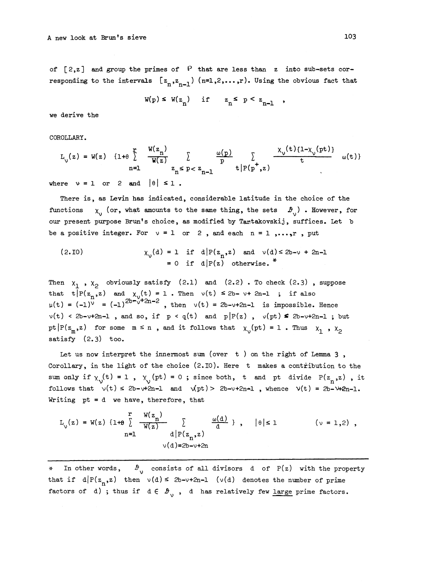of  $[2, z]$  and group the primes of  $P$  that are less than z into sub-sets corresponding to the intervals  $[z_n, z_{n-1})$   $(n=1,2,...,r)$ . Using the obvious fact that

 $W(p) \leq W(z_n)$  if  $z_n \leq p \leq z_{n-1}$ ,

we derive the

COROLLARY.

ROLLARY.  
\n
$$
L_{v}(z) = W(z) \{1+\theta \int_{n=1}^{r} \frac{W(z_{n})}{W(z)} \int_{z_{n} \leq p < z_{n-1}} \frac{\omega(p)}{p} \int_{t | P(p^{+}, z)} \frac{x_{v}(t) \{1-x_{v}(pt)\}}{t} \omega(t) dt
$$

where  $v = 1$  or 2 and  $|\theta| \le 1$ .

There is, as Levin has indicated, considerable latitude in the choice of the functions  $\chi$  (or, what amounts to the same thing, the sets  $\mathcal{B}^{\prime}_{ij}$ ). However, for our present purpose Brun's choice, as modified by Tartakovskij, suffices. Let b be a positive integer. For  $v = 1$  or 2, and each  $n = 1, ..., r$ , put

(2.10) 
$$
\chi_{v}(d) = 1 \quad \text{if} \quad d \mid P(z_{n}, z) \quad \text{and} \quad v(d) \leq 2b - v + 2n - 1
$$

$$
= 0 \quad \text{if} \quad d \mid P(z) \quad \text{otherwise.}^*
$$

Then  $x^1$ ,  $x^2$  obviously satisfy (2.1) and (2.2). To check (2.3), suppose that  $t|P(z_n, z)$  and  $\chi_v(t) = 1$ . Then  $v(t) \le 2b-v+2n-1$  ; if also  $u(t) = (-1)^v = (-1)^{2b-v+2n-2}$ , then  $v(t) = 2b-v+2n-1$  is impossible. Hence  $v(t) < 2b-v+2n-1$ , and so, if  $p < q(t)$  and  $p|P(z)$ ,  $v(pt) \le 2b-v+2n-1$ ; but pt  $|P(z_m, z)|$  for some  $m \le n$ , and it follows that  $\chi_{\nu}(pt) = 1$ . Thus  $\chi_1$ ,  $\chi_2$ satisfy (2.3) too.

Let us now interpret the innermost sum (over  $t$  ) on the right of Lemma 3, Corollary, in the light of the choice (2.10). Here t makes a contribution to the sum only if  $\chi_0(t) = 1$ ,  $\chi_1(pt) = 0$ ; since both, t and pt divide P(z<sub>n</sub>,z), it follows that  $\sqrt{(t)} \leq 2b-\sqrt{2n-1}$  and  $\sqrt{(pt)} > 2b-\sqrt{2n-1}$ , whence  $\sqrt{(t)} = 2b-\sqrt{2n-1}$ . Writing pt = d we have, therefore, that

It is given that

\n
$$
L_{\sqrt{z}}(z) = W(z) \{1 + \theta \sum_{n=1}^{r} \frac{W(z_n)}{W(z)} \sum_{\substack{d \mid P(z_n, z) \\ d \mid P(z_n, z)}} \frac{\omega(d)}{d} \}, \quad |\theta| \leq 1 \qquad (\nu = 1, 2)
$$
\n
$$
\sqrt{d} = 2b - \nu + 2n
$$

•%• In other words, *£•* consists of all divisors d of P(z) with the property that if  $d|P(z_n, z)$  then  $v(d) \leq 2b-v+2n-1$  ( $v(d)$  denotes the number of prime factors of d); thus if  $d \in \mathcal{B}_{\gamma}$ , d has relatively few large prime factors.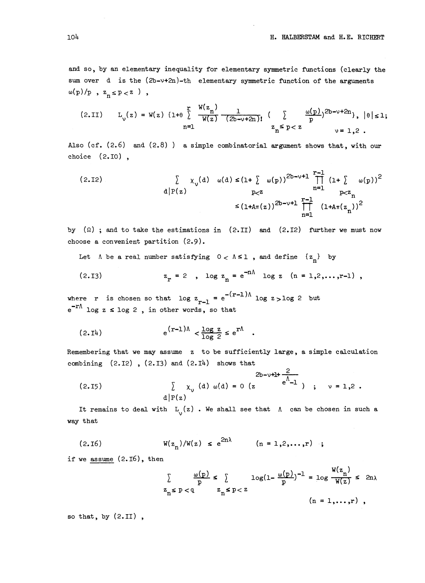and so, by an elementary inequality for elementary symmetric functions (clearly the sum over d is the  $(2b-v+2n)-th$  elementary symmetric function of the arguments  $\omega(p)/p$  ,  $z_{n} \leq p < z$  ) ,

$$
(2.1I) \tL_v(z) = W(z) \{1+\theta \int \limits_{n=1}^{r} \frac{W(z_n)}{W(z)} \frac{1}{(2b-v+2n)!} \left( \int \limits_{z_n \leq p < z} \frac{\omega(p)}{p} \right)^{2b-v+2n}, \quad |\theta| \leq 1;
$$

Also (cf. (2.6) and (2.8) ) a simple combinatorial argument shows that, with our choice (2.10) ,

( 2 - <sup>12</sup>) I X^d) o)(d)^(l^ (.(p))213-^12^ (1^ o)(p))<sup>2</sup> <i|P(z) P<z n=l p<z^ ^(1+A^z))<sup>213</sup>-^<sup>1</sup> ^ (l+A^(z ))<sup>2</sup> n=l n

by  $(\Omega)$ ; and to take the estimations in (2.II) and (2.I2) further we must now choose a convenient partition (2.9).

Let  $\Lambda$  be a real number satisfying  $0 < \Lambda \leq 1$ , and define  $\{z_n\}$  by

(2.13) 
$$
z_r = 2
$$
,  $\log z_n = e^{-n\Lambda} \log z$  (n = 1,2,...,r-1),

where r is chosen so that  $\log z_{r-1} = e^{-(r-1)\Lambda} \log z > \log 2$  but e<sup>-r∧</sup> log z ≤ log 2, in other words, so that

$$
(2.14) \t e^{(r-1)\Lambda} < \frac{\log z}{\log 2} \le e^{r\Lambda}.
$$

Remembering that we may assume z to be sufficiently large, a simple calculation combining  $(2.12)$ ,  $(2.13)$  and  $(2.14)$  shows that

$$
\begin{array}{llll}\n\text{abining} & (2.12) \text{ , } (2.13) \text{ and } (2.14) \text{ shows that} \\
&2b-v+1+\frac{2}{c^{\Lambda}-1} \\
(2.15) & \sum_{d|P(z)}(d) \omega(d) = 0 \ (z \qquad e^{\Lambda}-1) \quad ; \quad v = 1,2 \end{array}.
$$

It remains to deal with  $L_1(z)$ . We shall see that  $\Lambda$  can be chosen in such a way that

(2.16) 
$$
W(z_n)/W(z) \le e^{2n\lambda}
$$
  $(n = 1,2,...,r)$ ;

if we assume  $(2.16)$ , then

$$
\sum_{z_n \leq p < q} \frac{\omega(p)}{p} \leq \sum_{z_n \leq p < z} \log(1 - \frac{\omega(p)}{p})^{-1} = \log \frac{W(z_n)}{W(z)} \leq 2n
$$
\n
$$
z_n \leq p < q \qquad z_n \leq p < z \qquad (n = 1, \dots, r) \quad ,
$$

so that, by (2.11) ,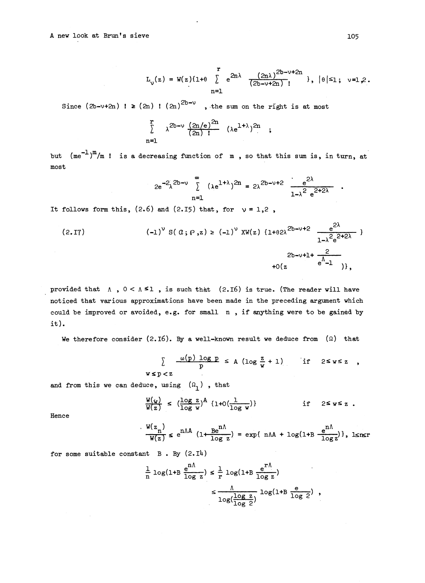$$
L_{v}(z) = W(z) \{1 + \theta \sum_{n=1}^{r} e^{2n\lambda} \frac{(2n\lambda)^{2b-v+2n}}{(2b-v+2n)!} \}, |\theta| \leq 1; v=1,2.
$$

Since  $(2b-v+2n)$  !  $\geq (2n)$  !  $(2n)^{2b-v}$ , the sum on the right is at most

$$
\sum_{n=1}^{r} \lambda^{2b-\nu} \frac{(2n/e)^{2n}}{(2n)!} (\lambda e^{1+\lambda})^{2n} ;
$$

but  $(\text{me}^{-1})^m/m$  ! is a decreasing function of m, so that this sum is, in turn, at<br>  $2e^{-2\lambda^{2b-\nu}} \int_{\lambda}^{\infty} (\lambda e^{1+\lambda})^{2n} = 2\lambda^{2b-\nu+2} \frac{e^{2\lambda}}{1-\lambda^2 e^{2+2\lambda}}$ . most

$$
2e^{-2\lambda}^{2b-\nu}\sum_{n=1}^{\infty}(\lambda e^{1+\lambda})^{2n}=2\lambda^{2b-\nu+2}\frac{e^{2\lambda}}{1-\lambda^2 e^{2+2\lambda}}
$$
.

It follows form this,  $(2.6)$  and  $(2.15)$  that, for  $v = 1.2$ ,

$$
(2.17) \t (-1)^{v} S(\alpha; p, z) \geq (-1)^{v} XW(z) \{1 + \theta 2\lambda^{2b - v + 2} \frac{e^{2\lambda}}{1 - \lambda^{2} e^{2 + 2\lambda}} \} \times 2b - v + 1 + \frac{2}{e^{\lambda} - 1} \},
$$

provided that  $\Lambda$ ,  $0 < \Lambda \leq 1$ , is such that (2.16) is true. (The reader will have noticed that various approximations have been made in the preceding argument which could be improved or avoided, e.g. for small n , if anything were to be gained by it).

We therefore consider (2.16). By a well-known result we deduce from  $(\Omega)$  that

$$
\sum_{\mathbf{y} \leq \mathbf{p} < \mathbf{z}} \frac{\omega(\mathbf{p}) \log \mathbf{p}}{\mathbf{p}} \leq A \left( \log \frac{\mathbf{z}}{\mathbf{w}} + 1 \right) \qquad \text{if} \quad 2 \leq \mathbf{w} \leq \mathbf{z},
$$

and from this we can deduce, using  $(\Omega_1)$ , that

$$
\frac{W(y)}{W(z)} \leq (\frac{\log z}{\log w})^{A} \{1+O(\frac{1}{\log w})\}
$$
 if  $2 \leq w \leq z$ .

Hence

$$
\frac{W(z_n)}{W(z)} \le e^{n\Lambda A} \left(1 + \frac{Be^{n\Lambda}}{\log z}\right) = \exp\{\text{ n}\Lambda + \log(1 + B \frac{e^{n\Lambda}}{\log z})\}, \text{lsnsr}
$$

for some suitable constant  $B$ . By  $(2.14)$ 

$$
\frac{1}{n} \log(1+B \frac{e^{n\Lambda}}{\log z}) \le \frac{1}{r} \log(1+B \frac{e^{r\Lambda}}{\log z})
$$
\n
$$
\le \frac{\Lambda}{\log(\frac{\log z}{\log 2})} \log(1+B \frac{e}{\log 2}) ,
$$